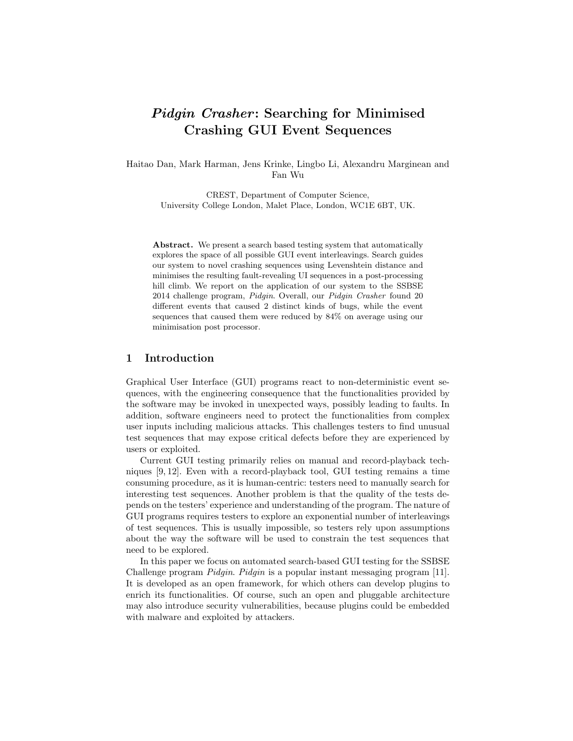# Pidgin Crasher: Searching for Minimised Crashing GUI Event Sequences

Haitao Dan, Mark Harman, Jens Krinke, Lingbo Li, Alexandru Marginean and Fan Wu

> CREST, Department of Computer Science, University College London, Malet Place, London, WC1E 6BT, UK.

Abstract. We present a search based testing system that automatically explores the space of all possible GUI event interleavings. Search guides our system to novel crashing sequences using Levenshtein distance and minimises the resulting fault-revealing UI sequences in a post-processing hill climb. We report on the application of our system to the SSBSE 2014 challenge program, Pidgin. Overall, our Pidgin Crasher found 20 different events that caused 2 distinct kinds of bugs, while the event sequences that caused them were reduced by 84% on average using our minimisation post processor.

## 1 Introduction

Graphical User Interface (GUI) programs react to non-deterministic event sequences, with the engineering consequence that the functionalities provided by the software may be invoked in unexpected ways, possibly leading to faults. In addition, software engineers need to protect the functionalities from complex user inputs including malicious attacks. This challenges testers to find unusual test sequences that may expose critical defects before they are experienced by users or exploited.

Current GUI testing primarily relies on manual and record-playback techniques [9, 12]. Even with a record-playback tool, GUI testing remains a time consuming procedure, as it is human-centric: testers need to manually search for interesting test sequences. Another problem is that the quality of the tests depends on the testers' experience and understanding of the program. The nature of GUI programs requires testers to explore an exponential number of interleavings of test sequences. This is usually impossible, so testers rely upon assumptions about the way the software will be used to constrain the test sequences that need to be explored.

In this paper we focus on automated search-based GUI testing for the SSBSE Challenge program Pidgin. Pidgin is a popular instant messaging program [11]. It is developed as an open framework, for which others can develop plugins to enrich its functionalities. Of course, such an open and pluggable architecture may also introduce security vulnerabilities, because plugins could be embedded with malware and exploited by attackers.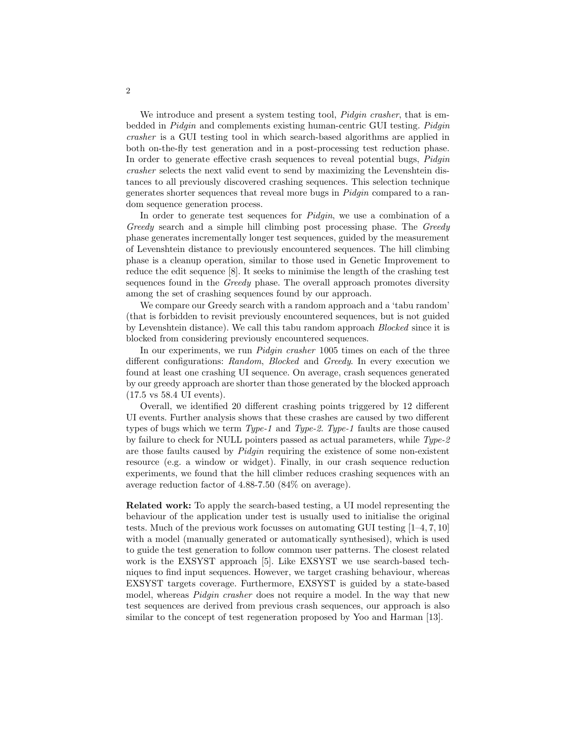We introduce and present a system testing tool, *Pidgin crasher*, that is embedded in Pidgin and complements existing human-centric GUI testing. Pidgin crasher is a GUI testing tool in which search-based algorithms are applied in both on-the-fly test generation and in a post-processing test reduction phase. In order to generate effective crash sequences to reveal potential bugs, Pidgin crasher selects the next valid event to send by maximizing the Levenshtein distances to all previously discovered crashing sequences. This selection technique generates shorter sequences that reveal more bugs in Pidgin compared to a random sequence generation process.

In order to generate test sequences for *Pidgin*, we use a combination of a Greedy search and a simple hill climbing post processing phase. The Greedy phase generates incrementally longer test sequences, guided by the measurement of Levenshtein distance to previously encountered sequences. The hill climbing phase is a cleanup operation, similar to those used in Genetic Improvement to reduce the edit sequence [8]. It seeks to minimise the length of the crashing test sequences found in the *Greedy* phase. The overall approach promotes diversity among the set of crashing sequences found by our approach.

We compare our Greedy search with a random approach and a 'tabu random' (that is forbidden to revisit previously encountered sequences, but is not guided by Levenshtein distance). We call this tabu random approach Blocked since it is blocked from considering previously encountered sequences.

In our experiments, we run *Pidgin crasher* 1005 times on each of the three different configurations: Random, Blocked and Greedy. In every execution we found at least one crashing UI sequence. On average, crash sequences generated by our greedy approach are shorter than those generated by the blocked approach (17.5 vs 58.4 UI events).

Overall, we identified 20 different crashing points triggered by 12 different UI events. Further analysis shows that these crashes are caused by two different types of bugs which we term Type-1 and Type-2. Type-1 faults are those caused by failure to check for NULL pointers passed as actual parameters, while  $Type-2$ are those faults caused by Pidgin requiring the existence of some non-existent resource (e.g. a window or widget). Finally, in our crash sequence reduction experiments, we found that the hill climber reduces crashing sequences with an average reduction factor of 4.88-7.50 (84% on average).

Related work: To apply the search-based testing, a UI model representing the behaviour of the application under test is usually used to initialise the original tests. Much of the previous work focusses on automating GUI testing [1–4, 7, 10] with a model (manually generated or automatically synthesised), which is used to guide the test generation to follow common user patterns. The closest related work is the EXSYST approach [5]. Like EXSYST we use search-based techniques to find input sequences. However, we target crashing behaviour, whereas EXSYST targets coverage. Furthermore, EXSYST is guided by a state-based model, whereas *Pidgin crasher* does not require a model. In the way that new test sequences are derived from previous crash sequences, our approach is also similar to the concept of test regeneration proposed by Yoo and Harman [13].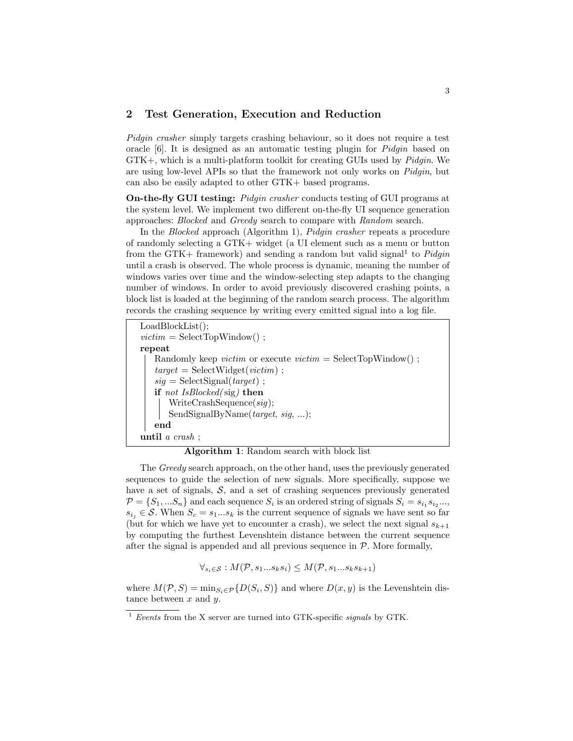# 2 Test Generation, Execution and Reduction

Pidgin crasher simply targets crashing behaviour, so it does not require a test oracle [6]. It is designed as an automatic testing plugin for Pidgin based on GTK+, which is a multi-platform toolkit for creating GUIs used by Pidgin. We are using low-level APIs so that the framework not only works on Pidgin, but can also be easily adapted to other GTK+ based programs.

On-the-fly GUI testing: Pidgin crasher conducts testing of GUI programs at the system level. We implement two different on-the-fly UI sequence generation approaches: Blocked and Greedy search to compare with Random search.

In the *Blocked* approach (Algorithm 1), *Pidgin crasher* repeats a procedure of randomly selecting a GTK+ widget (a UI element such as a menu or button from the GTK+ framework) and sending a random but valid signal<sup>1</sup> to  $Pidgin$ until a crash is observed. The whole process is dynamic, meaning the number of windows varies over time and the window-selecting step adapts to the changing number of windows. In order to avoid previously discovered crashing points, a block list is loaded at the beginning of the random search process. The algorithm records the crashing sequence by writing every emitted signal into a log file.

LoadBlockList();  $victim = SelectTopWindow()$ ; repeat Randomly keep *victim* or execute *victim* =  $\text{SelectTopWindow}()$ ;  $target = SelectWidget(victim)$ ;  $sig = SelectSignal(target)$ ; if not IsBlocked( sig) then WriteCrashSequence $(siq)$ ; SendSignalByName(target, sig, ...); end until a crash ;

### Algorithm 1: Random search with block list

The Greedy search approach, on the other hand, uses the previously generated sequences to guide the selection of new signals. More specifically, suppose we have a set of signals,  $S$ , and a set of crashing sequences previously generated  $\mathcal{P} = \{S_1, ... S_n\}$  and each sequence  $S_i$  is an ordered string of signals  $S_i = s_{i_1} s_{i_2} ...$  $s_{i_j} \in \mathcal{S}$ . When  $S_c = s_1...s_k$  is the current sequence of signals we have sent so far (but for which we have yet to encounter a crash), we select the next signal  $s_{k+1}$ by computing the furthest Levenshtein distance between the current sequence after the signal is appended and all previous sequence in  $P$ . More formally,

$$
\forall_{s_i \in \mathcal{S}} : M(\mathcal{P}, s_1...s_ks_i) \le M(\mathcal{P}, s_1...s_ks_{k+1})
$$

where  $M(\mathcal{P}, S) = \min_{S_i \in \mathcal{P}} \{D(S_i, S)\}\$  and where  $D(x, y)$  is the Levenshtein distance between  $x$  and  $y$ .

 $1$  Events from the X server are turned into GTK-specific signals by GTK.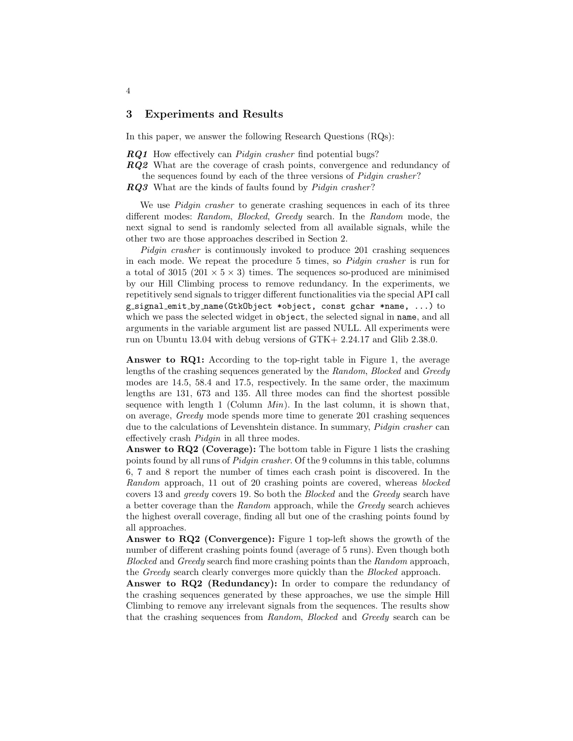#### 3 Experiments and Results

In this paper, we answer the following Research Questions (RQs):

**RQ1** How effectively can *Pidgin crasher* find potential bugs?

**RQ2** What are the coverage of crash points, convergence and redundancy of the sequences found by each of the three versions of Pidgin crasher?

**RQ3** What are the kinds of faults found by *Pidgin crasher*?

We use *Pidgin crasher* to generate crashing sequences in each of its three different modes: Random, Blocked, Greedy search. In the Random mode, the next signal to send is randomly selected from all available signals, while the other two are those approaches described in Section 2.

Pidgin crasher is continuously invoked to produce 201 crashing sequences in each mode. We repeat the procedure 5 times, so Pidgin crasher is run for a total of 3015 (201  $\times$  5  $\times$  3) times. The sequences so-produced are minimised by our Hill Climbing process to remove redundancy. In the experiments, we repetitively send signals to trigger different functionalities via the special API call g signal emit by name(GtkObject \*object, const gchar \*name, ...) to which we pass the selected widget in object, the selected signal in name, and all arguments in the variable argument list are passed NULL. All experiments were run on Ubuntu 13.04 with debug versions of GTK+ 2.24.17 and Glib 2.38.0.

Answer to RQ1: According to the top-right table in Figure 1, the average lengths of the crashing sequences generated by the Random, Blocked and Greedy modes are 14.5, 58.4 and 17.5, respectively. In the same order, the maximum lengths are 131, 673 and 135. All three modes can find the shortest possible sequence with length 1 (Column  $Min$ ). In the last column, it is shown that, on average, Greedy mode spends more time to generate 201 crashing sequences due to the calculations of Levenshtein distance. In summary, Pidgin crasher can effectively crash Pidgin in all three modes.

Answer to RQ2 (Coverage): The bottom table in Figure 1 lists the crashing points found by all runs of Pidgin crasher. Of the 9 columns in this table, columns 6, 7 and 8 report the number of times each crash point is discovered. In the Random approach, 11 out of 20 crashing points are covered, whereas blocked covers 13 and greedy covers 19. So both the Blocked and the Greedy search have a better coverage than the Random approach, while the Greedy search achieves the highest overall coverage, finding all but one of the crashing points found by all approaches.

Answer to RQ2 (Convergence): Figure 1 top-left shows the growth of the number of different crashing points found (average of 5 runs). Even though both Blocked and Greedy search find more crashing points than the Random approach, the *Greedy* search clearly converges more quickly than the *Blocked* approach.

Answer to RQ2 (Redundancy): In order to compare the redundancy of the crashing sequences generated by these approaches, we use the simple Hill Climbing to remove any irrelevant signals from the sequences. The results show that the crashing sequences from Random, Blocked and Greedy search can be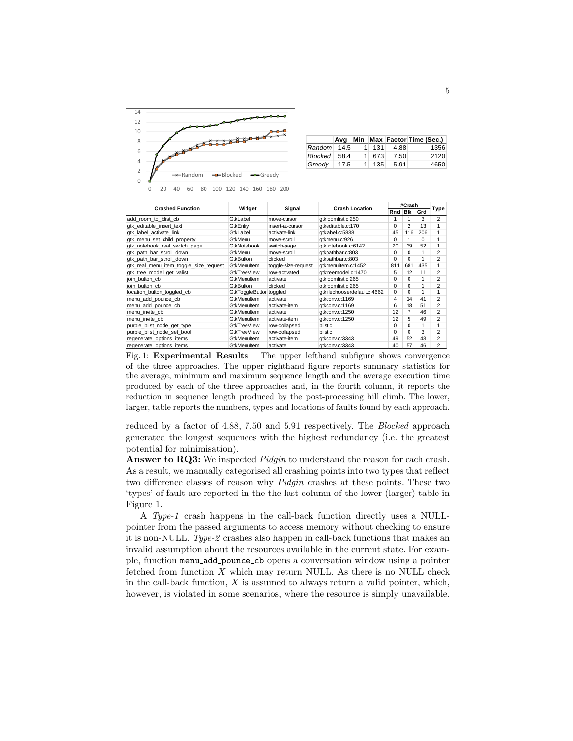

|              | Ava  |                   |      | Min Max Factor Time (Sec.) |
|--------------|------|-------------------|------|----------------------------|
| Random 14.5  |      | $1 \mid 131 \mid$ | 4.88 | 1356                       |
| Blocked 58.4 |      | 1 673             | 7.50 | 2120                       |
| Greedy       | 17.5 | $1 \mid 135 \mid$ | 5.91 | 4650                       |

| <b>Crashed Function</b>                | Widget                  | Signal              | <b>Crash Location</b>        | #Crash   |                |     | Type           |
|----------------------------------------|-------------------------|---------------------|------------------------------|----------|----------------|-----|----------------|
|                                        |                         |                     |                              | Rnd      | <b>BIK</b>     | Grd |                |
| add room to blist cb                   | GtkLabel                | move-cursor         | qtkroomlist.c:250            |          |                | 3   | $\overline{2}$ |
| atk editable insert text               | GtkEntrv                | insert-at-cursor    | atkeditable.c:170            | $\Omega$ | $\overline{2}$ | 13  | 1              |
| gtk label activate link                | GtkLabel                | activate-link       | qtklabel.c:5838              | 45       | 116            | 206 |                |
| gtk menu set child property            | GtkMenu                 | move-scroll         | qtkmenu.c:926                | $\Omega$ |                | 0   | 1              |
| gtk notebook real switch page          | <b>GtkNotebook</b>      | switch-page         | atknotebook.c:6142           | 20       | 39             | 52  | 1              |
| gtk path bar scroll down               | GtkMenu                 | move-scroll         | qtkpathbar.c:803             | $\Omega$ | $\Omega$       |     | 2              |
| gtk path bar scroll down               | <b>GtkButton</b>        | clicked             | qtkpathbar.c:803             | $\Omega$ | $\Omega$       |     | $\overline{2}$ |
| gtk real menu item toggle size request | GtkMenultem             | toggle-size-request | atkmenuitem.c:1452           | 811      | 681            | 435 | 1              |
| gtk tree model get valist              | <b>GtkTreeView</b>      | row-activated       | qtktreemodel.c:1470          | 5        | 12             | 11  | $\overline{2}$ |
| join button cb                         | GtkMenultem             | activate            | atkroomlist.c:265            | $\Omega$ | 0              |     | $\overline{2}$ |
| join button cb                         | <b>GtkButton</b>        | clicked             | atkroomlist.c:265            | $\Omega$ | $\Omega$       |     | $\overline{2}$ |
| location button toggled cb             | GtkToaaleButton toaaled |                     | atkfilechooserdefault.c:4662 | $\Omega$ | $\Omega$       |     |                |
| menu add pounce cb                     | GtkMenultem             | activate            | atkconv.c:1169               | 4        | 14             | 41  | 2              |
| menu add pounce cb                     | GtkMenultem             | activate-item       | gtkconv.c:1169               | 6        | 18             | 51  | $\overline{a}$ |
| menu invite cb                         | GtkMenultem             | activate            | gtkconv.c:1250               | 12       | $\overline{7}$ | 46  | 2              |
| menu invite cb                         | GtkMenultem             | activate-item       | atkconv.c:1250               | 12       | 5              | 49  | 2              |
| purple blist node get type             | <b>GtkTreeView</b>      | row-collapsed       | blist.c                      | $\Omega$ | $\Omega$       |     | 1              |
| purple blist node set bool             | <b>GtkTreeView</b>      | row-collapsed       | blist.c                      | $\Omega$ | 0              | 3   | $\overline{2}$ |
| regenerate options items               | GtkMenultem             | activate-item       | qtkconv.c:3343               | 49       | 52             | 43  | 2              |
| regenerate options items               | GtkMenultem             | activate            | atkconv.c:3343               | 40       | 57             | 46  | $\overline{2}$ |

Fig. 1: Experimental Results – The upper lefthand subfigure shows convergence of the three approaches. The upper righthand figure reports summary statistics for the average, minimum and maximum sequence length and the average execution time produced by each of the three approaches and, in the fourth column, it reports the reduction in sequence length produced by the post-processing hill climb. The lower, larger, table reports the numbers, types and locations of faults found by each approach.

reduced by a factor of 4.88, 7.50 and 5.91 respectively. The Blocked approach generated the longest sequences with the highest redundancy (i.e. the greatest potential for minimisation).

Answer to RQ3: We inspected *Pidgin* to understand the reason for each crash. As a result, we manually categorised all crashing points into two types that reflect two difference classes of reason why Pidgin crashes at these points. These two 'types' of fault are reported in the the last column of the lower (larger) table in Figure 1.

A Type-1 crash happens in the call-back function directly uses a NULLpointer from the passed arguments to access memory without checking to ensure it is non-NULL. Type-2 crashes also happen in call-back functions that makes an invalid assumption about the resources available in the current state. For example, function menu add pounce cb opens a conversation window using a pointer fetched from function  $X$  which may return NULL. As there is no NULL check in the call-back function,  $X$  is assumed to always return a valid pointer, which, however, is violated in some scenarios, where the resource is simply unavailable.